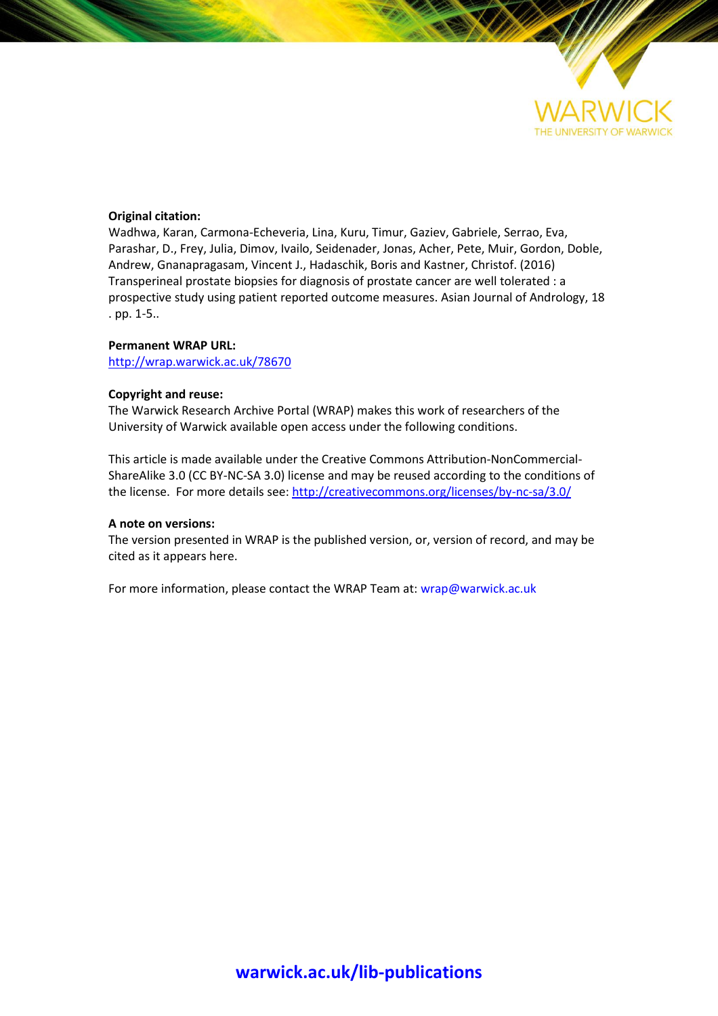

# **Original citation:**

Wadhwa, Karan, Carmona-Echeveria, Lina, Kuru, Timur, Gaziev, Gabriele, Serrao, Eva, Parashar, D., Frey, Julia, Dimov, Ivailo, Seidenader, Jonas, Acher, Pete, Muir, Gordon, Doble, Andrew, Gnanapragasam, Vincent J., Hadaschik, Boris and Kastner, Christof. (2016) Transperineal prostate biopsies for diagnosis of prostate cancer are well tolerated : a prospective study using patient reported outcome measures. Asian Journal of Andrology, 18 . pp. 1-5..

# **Permanent WRAP URL:**

<http://wrap.warwick.ac.uk/78670>

# **Copyright and reuse:**

The Warwick Research Archive Portal (WRAP) makes this work of researchers of the University of Warwick available open access under the following conditions.

This article is made available under the Creative Commons Attribution-NonCommercial-ShareAlike 3.0 (CC BY-NC-SA 3.0) license and may be reused according to the conditions of the license. For more details see:<http://creativecommons.org/licenses/by-nc-sa/3.0/>

# **A note on versions:**

The version presented in WRAP is the published version, or, version of record, and may be cited as it appears here.

For more information, please contact the WRAP Team at[: wrap@warwick.ac.uk](mailto:wrap@warwick.ac.uk)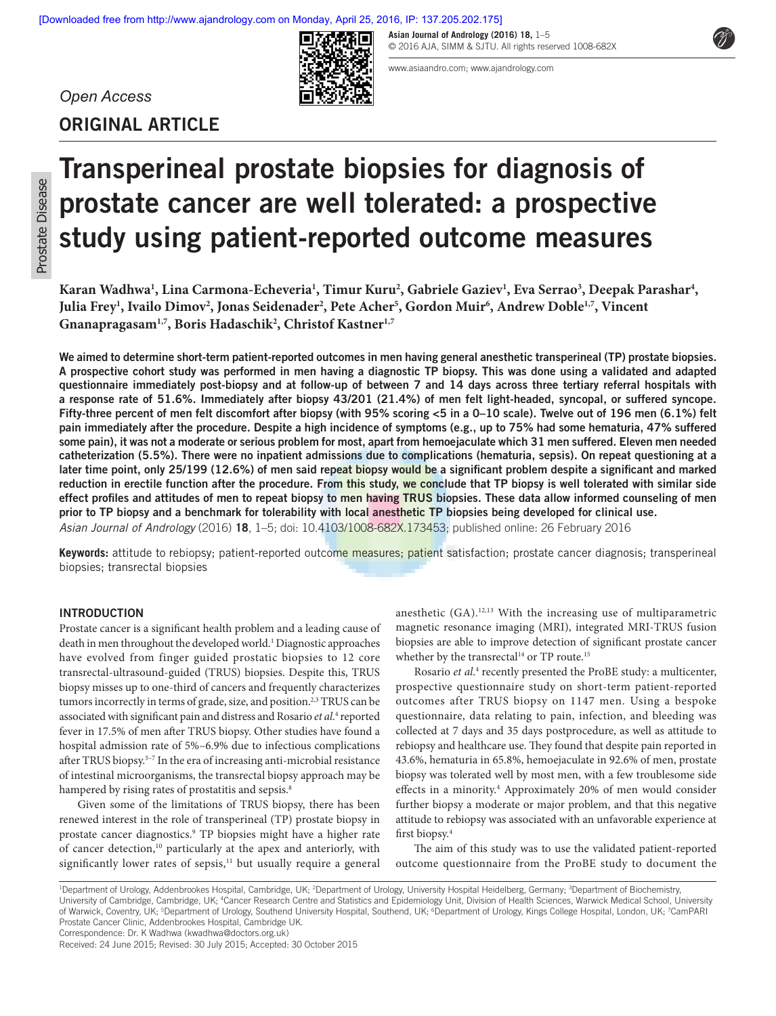**Asian Journal of Andrology (2016) 18,** 1–5 © 2016 AJA, SIMM & SJTU. All rights reserved 1008-682X

www.asiaandro.com; www.ajandrology.com

# *Open Access*

# **ORIGINAL ARTICLE**

# **Transperineal prostate biopsies for diagnosis of prostate cancer are well tolerated: a prospective study using patient‑reported outcome measures**

**Karan Wadhwa1 , Lina Carmona-Echeveria1 , Timur Kuru2 , Gabriele Gaziev1 , Eva Serrao3 , Deepak Parashar4 ,**  Julia Frey<sup>1</sup>, Ivailo Dimov<sup>2</sup>, Jonas Seidenader<sup>2</sup>, Pete Acher<sup>5</sup>, Gordon Muir<sup>6</sup>, Andrew Doble<sup>1,7</sup>, Vincent **Gnanapragasam1,7, Boris Hadaschik2 , Christof Kastner1,7**

**We aimed to determine short‑term patient‑reported outcomes in men having general anesthetic transperineal (TP) prostate biopsies. A prospective cohort study was performed in men having a diagnostic TP biopsy. This was done using a validated and adapted questionnaire immediately post-biopsy and at follow‑up of between 7 and 14 days across three tertiary referral hospitals with a response rate of 51.6%. Immediately after biopsy 43/201 (21.4%) of men felt light‑headed, syncopal, or suffered syncope. Fifty‑three percent of men felt discomfort after biopsy (with 95% scoring <5 in a 0–10 scale). Twelve out of 196 men (6.1%) felt pain immediately after the procedure. Despite a high incidence of symptoms (e.g., up to 75% had some hematuria, 47% suffered some pain), it was not a moderate or serious problem for most, apart from hemoejaculate which 31 men suffered. Eleven men needed catheterization (5.5%). There were no inpatient admissions due to complications (hematuria, sepsis). On repeat questioning at a later time point, only 25/199 (12.6%) of men said repeat biopsy would be a significant problem despite a significant and marked reduction in erectile function after the procedure. From this study, we conclude that TP biopsy is well tolerated with similar side effect profiles and attitudes of men to repeat biopsy to men having TRUS biopsies. These data allow informed counseling of men prior to TP biopsy and a benchmark for tolerability with local anesthetic TP biopsies being developed for clinical use.** *Asian Journal of Andrology* (2016) **18**, 1–5; doi: 10.4103/1008-682X.173453; published online: 26 February 2016

**Keywords:** attitude to rebiopsy; patient‑reported outcome measures; patient satisfaction; prostate cancer diagnosis; transperineal biopsies; transrectal biopsies

# **INTRODUCTION**

Prostate cancer is a significant health problem and a leading cause of death in men throughout the developed world.<sup>1</sup> Diagnostic approaches have evolved from finger guided prostatic biopsies to 12 core transrectal‑ultrasound‑guided (TRUS) biopsies. Despite this, TRUS biopsy misses up to one‑third of cancers and frequently characterizes tumors incorrectly in terms of grade, size, and position.<sup>2,3</sup> TRUS can be associated with significant pain and distress and Rosario *et al*. 4 reported fever in 17.5% of men after TRUS biopsy. Other studies have found a hospital admission rate of 5%–6.9% due to infectious complications after TRUS biopsy.5–7 In the era of increasing anti‑microbial resistance of intestinal microorganisms, the transrectal biopsy approach may be hampered by rising rates of prostatitis and sepsis.<sup>8</sup>

Given some of the limitations of TRUS biopsy, there has been renewed interest in the role of transperineal (TP) prostate biopsy in prostate cancer diagnostics.9 TP biopsies might have a higher rate of cancer detection,<sup>10</sup> particularly at the apex and anteriorly, with significantly lower rates of sepsis, $11$  but usually require a general anesthetic  $(GA)$ .<sup>12,13</sup> With the increasing use of multiparametric magnetic resonance imaging (MRI), integrated MRI‑TRUS fusion biopsies are able to improve detection of significant prostate cancer whether by the transrectal<sup>14</sup> or TP route.<sup>15</sup>

Rosario et al.<sup>4</sup> recently presented the ProBE study: a multicenter, prospective questionnaire study on short-term patient-reported outcomes after TRUS biopsy on 1147 men. Using a bespoke questionnaire, data relating to pain, infection, and bleeding was collected at 7 days and 35 days postprocedure, as well as attitude to rebiopsy and healthcare use. They found that despite pain reported in 43.6%, hematuria in 65.8%, hemoejaculate in 92.6% of men, prostate biopsy was tolerated well by most men, with a few troublesome side effects in a minority.4 Approximately 20% of men would consider further biopsy a moderate or major problem, and that this negative attitude to rebiopsy was associated with an unfavorable experience at first biopsy.4

The aim of this study was to use the validated patient-reported outcome questionnaire from the ProBE study to document the

Correspondence: Dr. K Wadhwa (kwadhwa@doctors.org.uk)

<sup>&</sup>lt;sup>1</sup>Department of Urology, Addenbrookes Hospital, Cambridge, UK; <sup>2</sup>Department of Urology, University Hospital Heidelberg, Germany; <sup>3</sup>Department of Biochemistry, University of Cambridge, Cambridge, UK; <sup>4</sup>Cancer Research Centre and Statistics and Epidemiology Unit, Division of Health Sciences, Warwick Medical School, University of Warwick, Coventry, UK; <sup>5</sup>Department of Urology, Southend University Hospital, Southend, UK; <sup>6</sup>Department of Urology, Kings College Hospital, London, UK; <sup>7</sup>CamPARI Prostate Cancer Clinic, Addenbrookes Hospital, Cambridge UK.

Received: 24 June 2015; Revised: 30 July 2015; Accepted: 30 October 2015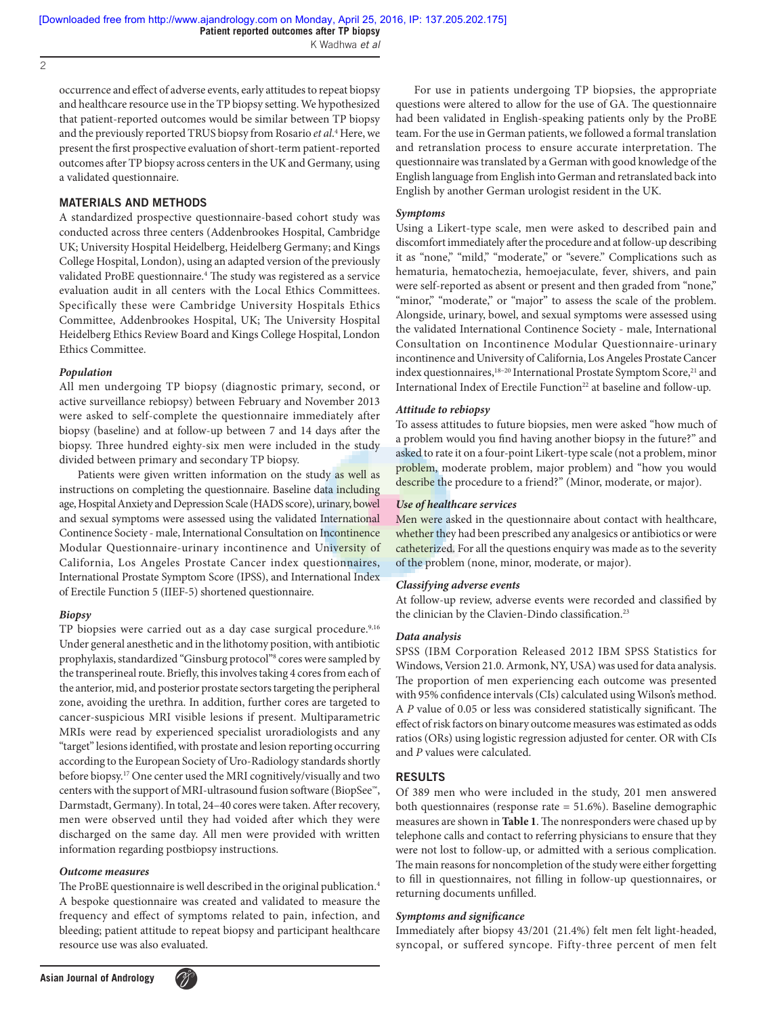**Patient reported outcomes after TP biopsy**

K Wadhwa *et al*

 $\overline{2}$ 

occurrence and effect of adverse events, early attitudes to repeat biopsy and healthcare resource use in the TP biopsy setting. We hypothesized that patient-reported outcomes would be similar between TP biopsy and the previously reported TRUS biopsy from Rosario *et al*. 4 Here, we present the first prospective evaluation of short-term patient-reported outcomes after TP biopsy across centers in the UK and Germany, using a validated questionnaire.

# **MATERIALS AND METHODS**

A standardized prospective questionnaire‑based cohort study was conducted across three centers (Addenbrookes Hospital, Cambridge UK; University Hospital Heidelberg, Heidelberg Germany; and Kings College Hospital, London), using an adapted version of the previously validated ProBE questionnaire.4 The study was registered as a service evaluation audit in all centers with the Local Ethics Committees. Specifically these were Cambridge University Hospitals Ethics Committee, Addenbrookes Hospital, UK; The University Hospital Heidelberg Ethics Review Board and Kings College Hospital, London Ethics Committee.

# *Population*

All men undergoing TP biopsy (diagnostic primary, second, or active surveillance rebiopsy) between February and November 2013 were asked to self-complete the questionnaire immediately after biopsy (baseline) and at follow‑up between 7 and 14 days after the biopsy. Three hundred eighty‑six men were included in the study divided between primary and secondary TP biopsy.

Patients were given written information on the study as well as instructions on completing the questionnaire. Baseline data including age, Hospital Anxiety and Depression Scale (HADS score), urinary, bowel and sexual symptoms were assessed using the validated International Continence Society ‑ male, International Consultation on Incontinence Modular Questionnaire‑urinary incontinence and University of California, Los Angeles Prostate Cancer index questionnaires, International Prostate Symptom Score (IPSS), and International Index of Erectile Function 5 (IIEF‑5) shortened questionnaire.

# *Biopsy*

TP biopsies were carried out as a day case surgical procedure.<sup>9,16</sup> Under general anesthetic and in the lithotomy position, with antibiotic prophylaxis, standardized "Ginsburg protocol"8 cores were sampled by the transperineal route. Briefly, this involves taking 4 cores from each of the anterior, mid, and posterior prostate sectors targeting the peripheral zone, avoiding the urethra. In addition, further cores are targeted to cancer‑suspicious MRI visible lesions if present. Multiparametric MRIs were read by experienced specialist uroradiologists and any "target" lesions identified, with prostate and lesion reporting occurring according to the European Society of Uro‑Radiology standards shortly before biopsy.17 One center used the MRI cognitively/visually and two centers with the support of MRI-ultrasound fusion software (BiopSee™, Darmstadt, Germany). In total, 24–40 cores were taken. After recovery, men were observed until they had voided after which they were discharged on the same day. All men were provided with written information regarding postbiopsy instructions.

# *Outcome measures*

The ProBE questionnaire is well described in the original publication.<sup>4</sup> A bespoke questionnaire was created and validated to measure the frequency and effect of symptoms related to pain, infection, and bleeding; patient attitude to repeat biopsy and participant healthcare resource use was also evaluated.

For use in patients undergoing TP biopsies, the appropriate questions were altered to allow for the use of GA. The questionnaire had been validated in English-speaking patients only by the ProBE team. For the use in German patients, we followed a formal translation and retranslation process to ensure accurate interpretation. The questionnaire was translated by a German with good knowledge of the English language from English into German and retranslated back into English by another German urologist resident in the UK.

# *Symptoms*

Using a Likert‑type scale, men were asked to described pain and discomfort immediately after the procedure and at follow‑up describing it as "none," "mild," "moderate," or "severe." Complications such as hematuria, hematochezia, hemoejaculate, fever, shivers, and pain were self-reported as absent or present and then graded from "none," "minor," "moderate," or "major" to assess the scale of the problem. Alongside, urinary, bowel, and sexual symptoms were assessed using the validated International Continence Society ‑ male, International Consultation on Incontinence Modular Questionnaire‑urinary incontinence and University of California, Los Angeles Prostate Cancer index questionnaires,<sup>18–20</sup> International Prostate Symptom Score,<sup>21</sup> and International Index of Erectile Function<sup>22</sup> at baseline and follow-up.

# *Attitude to rebiopsy*

To assess attitudes to future biopsies, men were asked "how much of a problem would you find having another biopsy in the future?" and asked to rate it on a four‑point Likert‑type scale (not a problem, minor problem, moderate problem, major problem) and "how you would describe the procedure to a friend?" (Minor, moderate, or major).

# *Use of healthcare services*

Men were asked in the questionnaire about contact with healthcare, whether they had been prescribed any analgesics or antibiotics or were catheterized. For all the questions enquiry was made as to the severity of the problem (none, minor, moderate, or major).

# *Classifying adverse events*

At follow‑up review, adverse events were recorded and classified by the clinician by the Clavien-Dindo classification.<sup>23</sup>

# *Data analysis*

SPSS (IBM Corporation Released 2012 IBM SPSS Statistics for Windows, Version 21.0. Armonk, NY, USA) was used for data analysis. The proportion of men experiencing each outcome was presented with 95% confidence intervals (CIs) calculated using Wilson's method. A *P* value of 0.05 or less was considered statistically significant. The effect of risk factors on binary outcome measures was estimated as odds ratios (ORs) using logistic regression adjusted for center. OR with CIs and *P* values were calculated.

# **RESULTS**

Of 389 men who were included in the study, 201 men answered both questionnaires (response rate = 51.6%). Baseline demographic measures are shown in **Table 1**. The nonresponders were chased up by telephone calls and contact to referring physicians to ensure that they were not lost to follow‑up, or admitted with a serious complication. The main reasons for noncompletion of the study were either forgetting to fill in questionnaires, not filling in follow‑up questionnaires, or returning documents unfilled.

# *Symptoms and significance*

Immediately after biopsy 43/201 (21.4%) felt men felt light‑headed, syncopal, or suffered syncope. Fifty-three percent of men felt

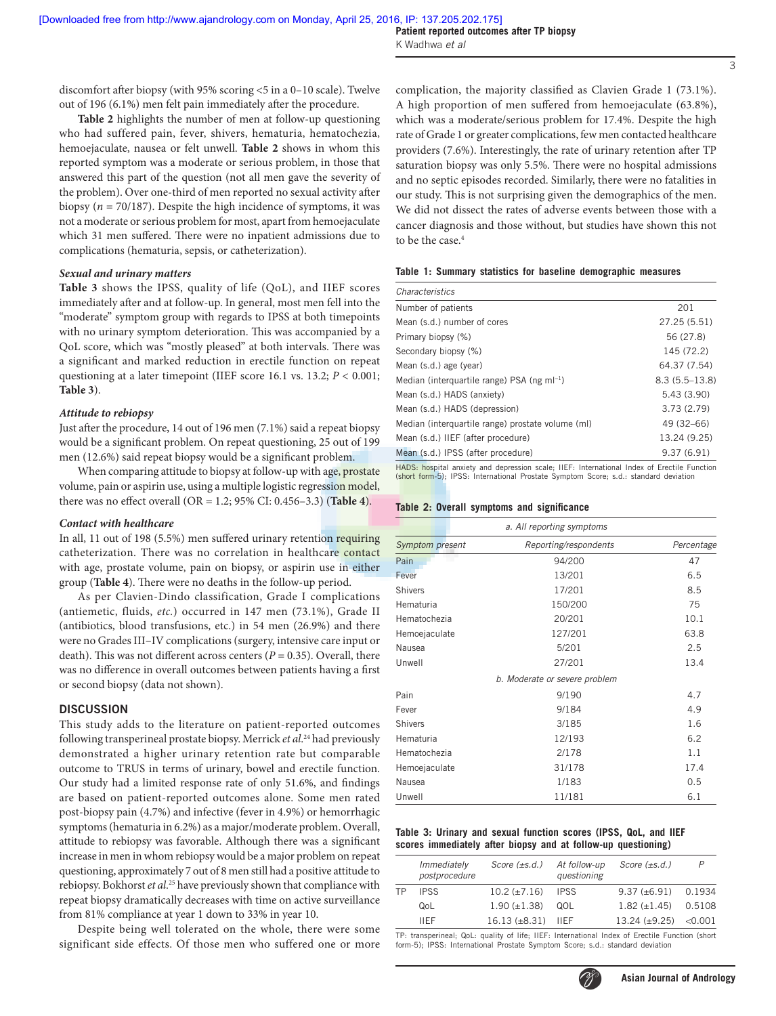discomfort after biopsy (with 95% scoring <5 in a 0–10 scale). Twelve out of 196 (6.1%) men felt pain immediately after the procedure.

**Table 2** highlights the number of men at follow‑up questioning who had suffered pain, fever, shivers, hematuria, hematochezia, hemoejaculate, nausea or felt unwell. **Table 2** shows in whom this reported symptom was a moderate or serious problem, in those that answered this part of the question (not all men gave the severity of the problem). Over one‑third of men reported no sexual activity after biopsy ( $n = 70/187$ ). Despite the high incidence of symptoms, it was not a moderate or serious problem for most, apart from hemoejaculate which 31 men suffered. There were no inpatient admissions due to complications (hematuria, sepsis, or catheterization).

# *Sexual and urinary matters*

**Table 3** shows the IPSS, quality of life (QoL), and IIEF scores immediately after and at follow‑up. In general, most men fell into the "moderate" symptom group with regards to IPSS at both timepoints with no urinary symptom deterioration. This was accompanied by a QoL score, which was "mostly pleased" at both intervals. There was a significant and marked reduction in erectile function on repeat questioning at a later timepoint (IIEF score 16.1 vs. 13.2; *P* < 0.001; **Table 3**).

#### *Attitude to rebiopsy*

Just after the procedure, 14 out of 196 men (7.1%) said a repeat biopsy would be a significant problem. On repeat questioning, 25 out of 199 men (12.6%) said repeat biopsy would be a significant problem.

When comparing attitude to biopsy at follow-up with age, prostate volume, pain or aspirin use, using a multiple logistic regression model, there was no effect overall (OR = 1.2; 95% CI: 0.456–3.3) (**Table 4**).

#### *Contact with healthcare*

In all, 11 out of 198 (5.5%) men suffered urinary retention requiring catheterization. There was no correlation in healthcare contact with age, prostate volume, pain on biopsy, or aspirin use in either group (**Table 4**). There were no deaths in the follow‑up period.

As per Clavien-Dindo classification, Grade I complications (antiemetic, fluids, *etc.*) occurred in 147 men (73.1%), Grade II (antibiotics, blood transfusions, etc.) in 54 men (26.9%) and there were no Grades III–IV complications (surgery, intensive care input or death). This was not different across centers (*P* = 0.35). Overall, there was no difference in overall outcomes between patients having a first or second biopsy (data not shown).

# **DISCUSSION**

This study adds to the literature on patient-reported outcomes following transperineal prostate biopsy. Merrick *et al*. 24 had previously demonstrated a higher urinary retention rate but comparable outcome to TRUS in terms of urinary, bowel and erectile function. Our study had a limited response rate of only 51.6%, and findings are based on patient‑reported outcomes alone. Some men rated post-biopsy pain (4.7%) and infective (fever in 4.9%) or hemorrhagic symptoms (hematuria in 6.2%) as a major/moderate problem. Overall, attitude to rebiopsy was favorable. Although there was a significant increase in men in whom rebiopsy would be a major problem on repeat questioning, approximately 7 out of 8 men still had a positive attitude to rebiopsy. Bokhorst *et al*. 25 have previously shown that compliance with repeat biopsy dramatically decreases with time on active surveillance from 81% compliance at year 1 down to 33% in year 10.

Despite being well tolerated on the whole, there were some significant side effects. Of those men who suffered one or more complication, the majority classified as Clavien Grade 1 (73.1%). A high proportion of men suffered from hemoejaculate (63.8%), which was a moderate/serious problem for 17.4%. Despite the high rate of Grade 1 or greater complications, few men contacted healthcare providers (7.6%). Interestingly, the rate of urinary retention after TP saturation biopsy was only 5.5%. There were no hospital admissions and no septic episodes recorded. Similarly, there were no fatalities in our study. This is not surprising given the demographics of the men. We did not dissect the rates of adverse events between those with a cancer diagnosis and those without, but studies have shown this not to be the case.<sup>4</sup>

#### **Table 1: Summary statistics for baseline demographic measures**

| Characteristics                                   |                 |
|---------------------------------------------------|-----------------|
| Number of patients                                | 201             |
| Mean (s.d.) number of cores                       | 27.25 (5.51)    |
| Primary biopsy (%)                                | 56 (27.8)       |
| Secondary biopsy (%)                              | 145 (72.2)      |
| Mean (s.d.) age (year)                            | 64.37 (7.54)    |
| Median (interquartile range) PSA (ng m $I^{-1}$ ) | $8.3(5.5-13.8)$ |
| Mean (s.d.) HADS (anxiety)                        | 5.43(3.90)      |
| Mean (s.d.) HADS (depression)                     | 3.73(2.79)      |
| Median (interquartile range) prostate volume (ml) | 49 (32-66)      |
| Mean (s.d.) IIEF (after procedure)                | 13.24 (9.25)    |
| Mean (s.d.) IPSS (after procedure)                | 9.37(6.91)      |

HADS: hospital anxiety and depression scale; IIEF: International Index of Erectile Function (short form‑5); IPSS: International Prostate Symptom Score; s.d.: standard deviation

#### **Table 2: Overall symptoms and significance**

| a. All reporting symptoms |                               |            |  |  |  |  |  |
|---------------------------|-------------------------------|------------|--|--|--|--|--|
| Symptom present           | Reporting/respondents         | Percentage |  |  |  |  |  |
| Pain                      | 94/200                        | 47         |  |  |  |  |  |
| Fever                     | 13/201                        | 6.5        |  |  |  |  |  |
| <b>Shivers</b>            | 17/201                        | 8.5        |  |  |  |  |  |
| Hematuria                 | 150/200                       | 75         |  |  |  |  |  |
| Hematochezia              | 20/201                        | 10.1       |  |  |  |  |  |
| Hemoejaculate             | 127/201                       | 63.8       |  |  |  |  |  |
| Nausea                    | 5/201                         | 2.5        |  |  |  |  |  |
| Unwell                    | 27/201                        | 13.4       |  |  |  |  |  |
|                           | b. Moderate or severe problem |            |  |  |  |  |  |
| Pain                      | 9/190                         | 4.7        |  |  |  |  |  |
| Fever                     | 9/184                         | 4.9        |  |  |  |  |  |
| Shivers                   | 3/185                         | 1.6        |  |  |  |  |  |
| Hematuria                 | 12/193                        | 6.2        |  |  |  |  |  |
| Hematochezia              | 2/178                         | 1.1        |  |  |  |  |  |
| Hemoejaculate             | 31/178                        | 17.4       |  |  |  |  |  |
| Nausea                    | 1/183                         | 0.5        |  |  |  |  |  |
| Unwell                    | 11/181                        | 6.1        |  |  |  |  |  |

#### **Table 3: Urinary and sexual function scores (IPSS, QoL, and IIEF scores immediately after biopsy and at follow‑up questioning)**

|    | Immediately<br>postprocedure | Score $(\pm s.d.)$        | At follow-up<br>questioning | Score $(\pm s.d.)$           |        |
|----|------------------------------|---------------------------|-----------------------------|------------------------------|--------|
| TP | <b>IPSS</b>                  | $10.2 \ (\pm 7.16)$       | <b>IPSS</b>                 | $9.37 \ (\pm 6.91)$          | 0.1934 |
|    | QoL                          | $1.90 \ (\pm 1.38)$       | QOL                         | $1.82 \ (\pm 1.45)$ 0.5108   |        |
|    | <b>IIFF</b>                  | $16.13 \ (\pm 8.31)$ IIEF |                             | $13.24 \ (\pm 9.25)$ < 0.001 |        |

TP: transperineal; QoL: quality of life; IIEF: International Index of Erectile Function (short form‑5); IPSS: International Prostate Symptom Score; s.d.: standard deviation

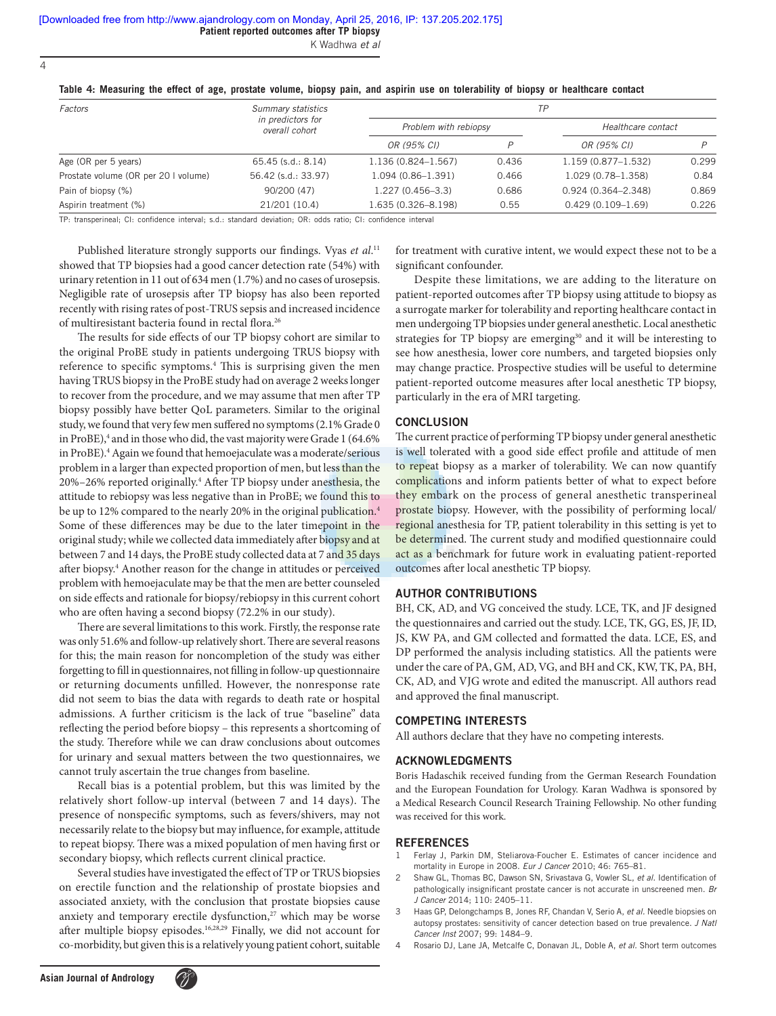**Patient reported outcomes after TP biopsy**

K Wadhwa *et al*

4

| Table 4: Measuring the effect of age, prostate volume, biopsy pain, and aspirin use on tolerability of biopsy or healthcare contact |  |  |  |  |  |  |  |
|-------------------------------------------------------------------------------------------------------------------------------------|--|--|--|--|--|--|--|
|-------------------------------------------------------------------------------------------------------------------------------------|--|--|--|--|--|--|--|

| Factors                              | Summary statistics<br>in predictors for<br>overall cohort | ТP                    |       |                        |       |  |
|--------------------------------------|-----------------------------------------------------------|-----------------------|-------|------------------------|-------|--|
|                                      |                                                           | Problem with rebiopsy |       | Healthcare contact     |       |  |
|                                      |                                                           | OR (95% CI)           |       | OR (95% CI)            |       |  |
| Age (OR per 5 years)                 | $65.45$ (s.d.: $8.14$ )                                   | 1.136 (0.824-1.567)   | 0.436 | 1.159 (0.877–1.532)    | 0.299 |  |
| Prostate volume (OR per 20 I volume) | 56.42 (s.d.: 33.97)                                       | $1.094(0.86 - 1.391)$ | 0.466 | 1.029 (0.78-1.358)     | 0.84  |  |
| Pain of biopsy (%)                   | 90/200 (47)                                               | $1.227(0.456-3.3)$    | 0.686 | $0.924(0.364 - 2.348)$ | 0.869 |  |
| Aspirin treatment (%)                | 21/201 (10.4)                                             | 1.635 (0.326-8.198)   | 0.55  | $0.429(0.109-1.69)$    | 0.226 |  |

TP: transperineal; CI: confidence interval; s.d.: standard deviation; OR: odds ratio; CI: confidence interval

Published literature strongly supports our findings. Vyas *et al*. 11 showed that TP biopsies had a good cancer detection rate (54%) with urinary retention in 11 out of 634 men (1.7%) and no cases of urosepsis. Negligible rate of urosepsis after TP biopsy has also been reported recently with rising rates of post‑TRUS sepsis and increased incidence of multiresistant bacteria found in rectal flora.<sup>26</sup>

The results for side effects of our TP biopsy cohort are similar to the original ProBE study in patients undergoing TRUS biopsy with reference to specific symptoms.<sup>4</sup> This is surprising given the men having TRUS biopsy in the ProBE study had on average 2 weeks longer to recover from the procedure, and we may assume that men after TP biopsy possibly have better QoL parameters. Similar to the original study, we found that very few men suffered no symptoms (2.1% Grade 0 in ProBE),<sup>4</sup> and in those who did, the vast majority were Grade 1 (64.6% in ProBE).4 Again we found that hemoejaculate was a moderate/serious problem in a larger than expected proportion of men, but less than the 20%–26% reported originally.<sup>4</sup> After TP biopsy under anesthesia, the attitude to rebiopsy was less negative than in ProBE; we found this to be up to 12% compared to the nearly 20% in the original publication.<sup>4</sup> Some of these differences may be due to the later timepoint in the original study; while we collected data immediately after biopsy and at between 7 and 14 days, the ProBE study collected data at 7 and 35 days after biopsy.<sup>4</sup> Another reason for the change in attitudes or perceived problem with hemoejaculate may be that the men are better counseled on side effects and rationale for biopsy/rebiopsy in this current cohort who are often having a second biopsy (72.2% in our study).

There are several limitations to this work. Firstly, the response rate was only 51.6% and follow‑up relatively short. There are several reasons for this; the main reason for noncompletion of the study was either forgetting to fill in questionnaires, not filling in follow‑up questionnaire or returning documents unfilled. However, the nonresponse rate did not seem to bias the data with regards to death rate or hospital admissions. A further criticism is the lack of true "baseline" data reflecting the period before biopsy – this represents a shortcoming of the study. Therefore while we can draw conclusions about outcomes for urinary and sexual matters between the two questionnaires, we cannot truly ascertain the true changes from baseline.

Recall bias is a potential problem, but this was limited by the relatively short follow‑up interval (between 7 and 14 days). The presence of nonspecific symptoms, such as fevers/shivers, may not necessarily relate to the biopsy but may influence, for example, attitude to repeat biopsy. There was a mixed population of men having first or secondary biopsy, which reflects current clinical practice.

Several studies have investigated the effect of TP or TRUS biopsies on erectile function and the relationship of prostate biopsies and associated anxiety, with the conclusion that prostate biopsies cause anxiety and temporary erectile dysfunction,<sup>27</sup> which may be worse after multiple biopsy episodes.16,28,29 Finally, we did not account for co-morbidity, but given this is a relatively young patient cohort, suitable

for treatment with curative intent, we would expect these not to be a significant confounder.

Despite these limitations, we are adding to the literature on patient‑reported outcomes after TP biopsy using attitude to biopsy as a surrogate marker for tolerability and reporting healthcare contact in men undergoing TP biopsies under general anesthetic. Local anesthetic strategies for TP biopsy are emerging<sup>30</sup> and it will be interesting to see how anesthesia, lower core numbers, and targeted biopsies only may change practice. Prospective studies will be useful to determine patient-reported outcome measures after local anesthetic TP biopsy, particularly in the era of MRI targeting.

#### **CONCLUSION**

The current practice of performing TP biopsy under general anesthetic is well tolerated with a good side effect profile and attitude of men to repeat biopsy as a marker of tolerability. We can now quantify complications and inform patients better of what to expect before they embark on the process of general anesthetic transperineal prostate biopsy. However, with the possibility of performing local/ regional anesthesia for TP, patient tolerability in this setting is yet to be determined. The current study and modified questionnaire could act as a benchmark for future work in evaluating patient-reported outcomes after local anesthetic TP biopsy.

#### **AUTHOR CONTRIBUTIONS**

BH, CK, AD, and VG conceived the study. LCE, TK, and JF designed the questionnaires and carried out the study. LCE, TK, GG, ES, JF, ID, JS, KW PA, and GM collected and formatted the data. LCE, ES, and DP performed the analysis including statistics. All the patients were under the care of PA, GM, AD, VG, and BH and CK, KW, TK, PA, BH, CK, AD, and VJG wrote and edited the manuscript. All authors read and approved the final manuscript.

#### **COMPETING INTERESTS**

All authors declare that they have no competing interests.

# **ACKNOWLEDGMENTS**

Boris Hadaschik received funding from the German Research Foundation and the European Foundation for Urology. Karan Wadhwa is sponsored by a Medical Research Council Research Training Fellowship. No other funding was received for this work.

#### **REFERENCES**

- 1 Ferlay J, Parkin DM, Steliarova-Foucher E. Estimates of cancer incidence and mortality in Europe in 2008. *Eur J Cancer* 2010; 46: 765–81.
- 2 Shaw GL, Thomas BC, Dawson SN, Srivastava G, Vowler SL, *et al.* Identification of pathologically insignificant prostate cancer is not accurate in unscreened men. *Br J Cancer* 2014; 110: 2405–11.
- 3 Haas GP, Delongchamps B, Jones RF, Chandan V, Serio A, *et al.* Needle biopsies on autopsy prostates: sensitivity of cancer detection based on true prevalence. *J Natl Cancer Inst* 2007; 99: 1484–9.
- 4 Rosario DJ, Lane JA, Metcalfe C, Donavan JL, Doble A, *et al.* Short term outcomes